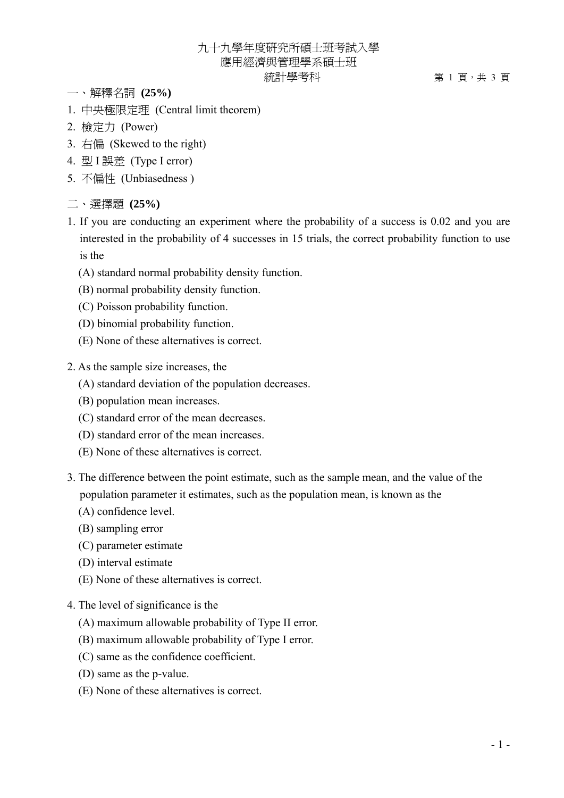## 九十九學年度研究所碩士班考試入學 應用經濟與管理學系碩士班 統計學考科 第 1 頁,共 3 頁

- 一、解釋名詞 **(25%)**
- 1. 中央極限定理 (Central limit theorem)
- 2. 檢定力 (Power)
- 3. 右偏 (Skewed to the right)
- 4. 型 I 誤差 (Type I error)
- 5. 不偏性 (Unbiasedness )
- 二、選擇題 **(25%)**
- 1. If you are conducting an experiment where the probability of a success is 0.02 and you are interested in the probability of 4 successes in 15 trials, the correct probability function to use is the
	- (A) standard normal probability density function.
	- (B) normal probability density function.
	- (C) Poisson probability function.
	- (D) binomial probability function.
	- (E) None of these alternatives is correct.
- 2. As the sample size increases, the
	- (A) standard deviation of the population decreases.
	- (B) population mean increases.
	- (C) standard error of the mean decreases.
	- (D) standard error of the mean increases.
	- (E) None of these alternatives is correct.
- 3. The difference between the point estimate, such as the sample mean, and the value of the population parameter it estimates, such as the population mean, is known as the
	- (A) confidence level.
	- (B) sampling error
	- (C) parameter estimate
	- (D) interval estimate
	- (E) None of these alternatives is correct.
- 4. The level of significance is the
	- (A) maximum allowable probability of Type II error.
	- (B) maximum allowable probability of Type I error.
	- (C) same as the confidence coefficient.
	- (D) same as the p-value.
	- (E) None of these alternatives is correct.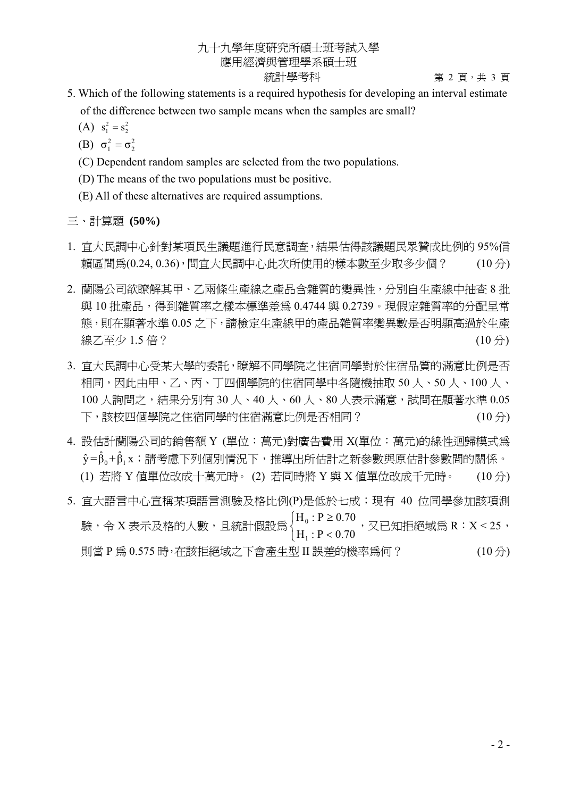## 九十九學年度研究所碩士班考試入學 應用經濟與管理學系碩士班

統計學考科 第 2 頁,共 3 頁

- 5. Which of the following statements is a required hypothesis for developing an interval estimate of the difference between two sample means when the samples are small?
- (A)  $s_1^2 = s_2^2$ 
	- (B)  $\sigma_1^2 = \sigma_2^2$
	- (C) Dependent random samples are selected from the two populations.
	- (D) The means of the two populations must be positive.
	- (E) All of these alternatives are required assumptions.

三、計算題 **(50%)** 

- 1. 宜大民調中心針對某項民生議題進行民意調查,結果估得該議題民眾贊成比例的 95%信 頼區間爲(0.24,0.36),問宜大民調中心此次所使用的樣本數至少取多少個? (10分)
- 2. 蘭陽公司欲瞭解其甲、乙兩條生產線之產品含雜質的變異性,分別自生產線中抽查 8 批 與 10 批產品,得到雜質率之樣本標進差為 0.4744 與 0.2739。現假定雜質率的分配呈常 態,則在顯著水準 0.05 之下,請檢定生產線甲的產品雜質率變異數是否明顯高過於生產 線乙至少 1.5 倍? (10 分)
- 3. 宜大民調中心受某大學的委託,瞭解不同學院之住宿同學對於住宿品質的滿意比例是否 相同,因此由甲、乙、丙、丁四個學院的住宿同學中各隨機抽取 50 人、50 人、100 人、 100 人詢問之,結果分別有 30 人、40 人、60 人、80 人表示滿意,試問在顯著水進 0.05 下,該校四個學院之住宿同學的住宿滿意比例是否相同? (10 分)
- 4. 設估計蘭陽公司的銷售額 Y (單位:萬元)對廣告費用 X(單位:萬元)的線性迴歸模式為  $\hat{\mathsf{y}} = \hat{\mathsf{b}}_0 + \hat{\mathsf{b}}_1$ x;請考慮下列個別情況下,推導出所估計之新參數與原估計參數間的關係。 (1) 若將 Y 值單位改成十萬元時。 (2) 若同時將 Y 與 X 值單位改成千元時。 (10 分)
- 5. 宜大語言中心宣稱某項語言測驗及格比例(P)是低於七成; 現有 40 位同學參加該項測 驗,令 X 表示及格的人數,且統計假設為  $\overline{a}$ ⎨  $\sqrt{ }$  $\lt$ ≥  $H_1$ : P < 0.70  $H_0$ :  $P \ge 0.70$ 1  $\frac{0.1 \leq 0.70}{\Sigma}$ , 又已知拒絕域爲 R:X < 25, 則當 P 為 0.575 時,在該拒絕域之下會產生型 II 誤差的機率為何? (10 分)